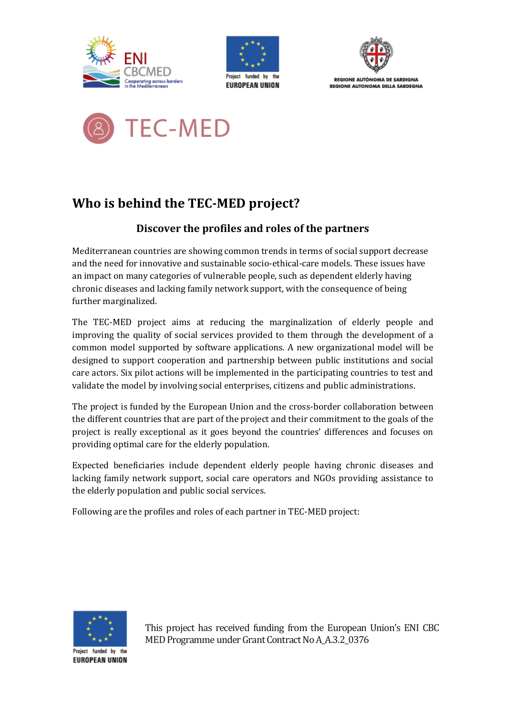





REGIONE AUTÒNOMA DE SARDIGNA **REGIONE AUTONOMA DELLA SARDEGNA** 



# **Who is behind the TEC-MED project?**

# **Discover the profiles and roles of the partners**

Mediterranean countries are showing common trends in terms of social support decrease and the need for innovative and sustainable socio-ethical-care models. These issues have an impact on many categories of vulnerable people, such as dependent elderly having chronic diseases and lacking family network support, with the consequence of being further marginalized.

The TEC-MED project aims at reducing the marginalization of elderly people and improving the quality of social services provided to them through the development of a common model supported by software applications. A new organizational model will be designed to support cooperation and partnership between public institutions and social care actors. Six pilot actions will be implemented in the participating countries to test and validate the model by involving social enterprises, citizens and public administrations.

The project is funded by the European Union and the cross-border collaboration between the different countries that are part of the project and their commitment to the goals of the project is really exceptional as it goes beyond the countries' differences and focuses on providing optimal care for the elderly population.

Expected beneficiaries include dependent elderly people having chronic diseases and lacking family network support, social care operators and NGOs providing assistance to the elderly population and public social services.

Following are the profiles and roles of each partner in TEC-MED project:



**EUROPEAN UNION** 

This project has received funding from the European Union's ENI CBC MED Programme under Grant Contract No A\_A.3.2\_0376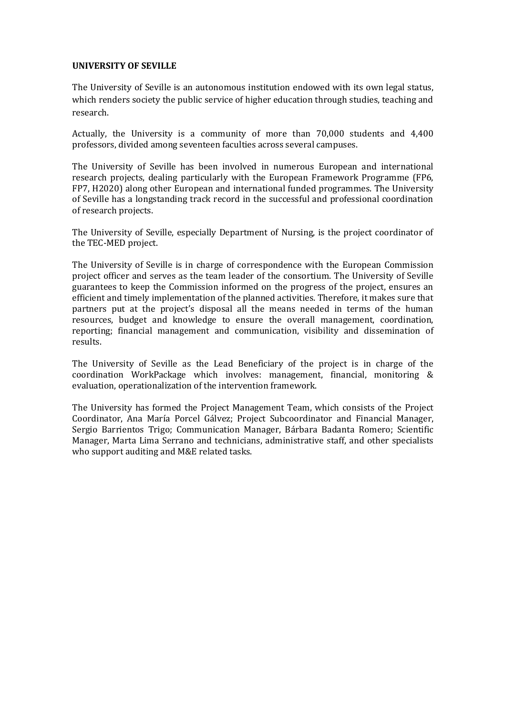#### **UNIVERSITY OF SEVILLE**

The University of Seville is an autonomous institution endowed with its own legal status, which renders society the public service of higher education through studies, teaching and research.

Actually, the University is a community of more than 70,000 students and 4,400 professors, divided among seventeen faculties across several campuses.

The University of Seville has been involved in numerous European and international research projects, dealing particularly with the European Framework Programme (FP6, FP7, H2020) along other European and international funded programmes. The University of Seville has a longstanding track record in the successful and professional coordination of research projects.

The University of Seville, especially Department of Nursing, is the project coordinator of the TEC-MED project.

The University of Seville is in charge of correspondence with the European Commission project officer and serves as the team leader of the consortium. The University of Seville guarantees to keep the Commission informed on the progress of the project, ensures an efficient and timely implementation of the planned activities. Therefore, it makes sure that partners put at the project's disposal all the means needed in terms of the human resources, budget and knowledge to ensure the overall management, coordination, reporting; financial management and communication, visibility and dissemination of results.

The University of Seville as the Lead Beneficiary of the project is in charge of the coordination WorkPackage which involves: management, financial, monitoring & evaluation, operationalization of the intervention framework.

The University has formed the Project Management Team, which consists of the Project Coordinator, Ana María Porcel Gálvez; Project Subcoordinator and Financial Manager, Sergio Barrientos Trigo; Communication Manager, Bárbara Badanta Romero; Scientific Manager, Marta Lima Serrano and technicians, administrative staff, and other specialists who support auditing and M&E related tasks.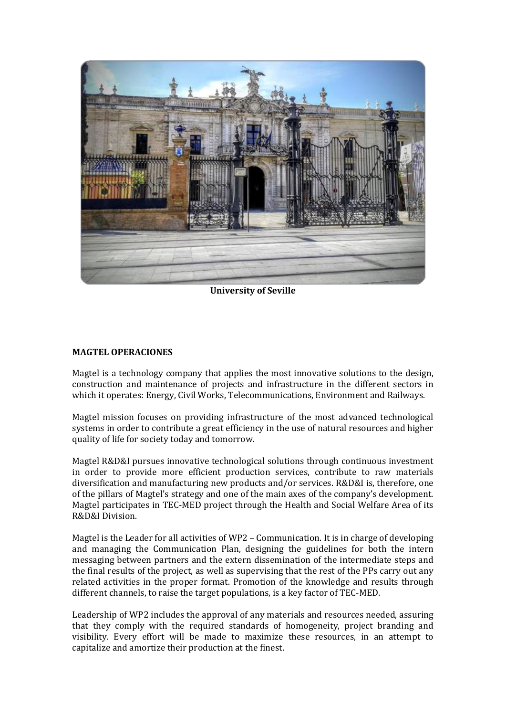

**University of Seville** 

#### **MAGTEL OPERACIONES**

Magtel is a technology company that applies the most innovative solutions to the design, construction and maintenance of projects and infrastructure in the different sectors in which it operates: Energy, Civil Works, Telecommunications, Environment and Railways.

Magtel mission focuses on providing infrastructure of the most advanced technological systems in order to contribute a great efficiency in the use of natural resources and higher quality of life for society today and tomorrow.

Magtel R&D&I pursues innovative technological solutions through continuous investment in order to provide more efficient production services, contribute to raw materials diversification and manufacturing new products and/or services. R&D&I is, therefore, one of the pillars of Magtel's strategy and one of the main axes of the company's development. Magtel participates in TEC-MED project through the Health and Social Welfare Area of its R&D&I Division.

Magtel is the Leader for all activities of WP2 – Communication. It is in charge of developing and managing the Communication Plan, designing the guidelines for both the intern messaging between partners and the extern dissemination of the intermediate steps and the final results of the project, as well as supervising that the rest of the PPs carry out any related activities in the proper format. Promotion of the knowledge and results through different channels, to raise the target populations, is a key factor of TEC-MED.

Leadership of WP2 includes the approval of any materials and resources needed, assuring that they comply with the required standards of homogeneity, project branding and visibility. Every effort will be made to maximize these resources, in an attempt to capitalize and amortize their production at the finest.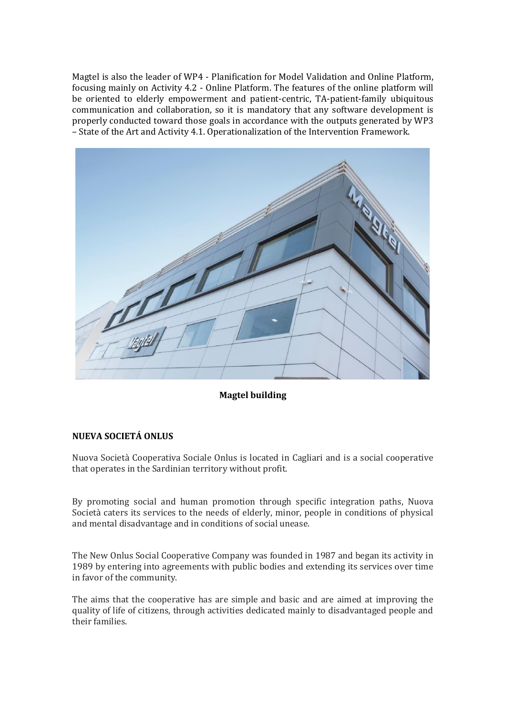Magtel is also the leader of WP4 - Planification for Model Validation and Online Platform, focusing mainly on Activity 4.2 - Online Platform. The features of the online platform will be oriented to elderly empowerment and patient-centric, TA-patient-family ubiquitous communication and collaboration, so it is mandatory that any software development is properly conducted toward those goals in accordance with the outputs generated by WP3 – State of the Art and Activity 4.1. Operationalization of the Intervention Framework.



**Magtel building** 

# **NUEVA SOCIETÁ ONLUS**

Nuova Società Cooperativa Sociale Onlus is located in Cagliari and is a social cooperative that operates in the Sardinian territory without profit.

By promoting social and human promotion through specific integration paths, Nuova Società caters its services to the needs of elderly, minor, people in conditions of physical and mental disadvantage and in conditions of social unease.

The New Onlus Social Cooperative Company was founded in 1987 and began its activity in 1989 by entering into agreements with public bodies and extending its services over time in favor of the community.

The aims that the cooperative has are simple and basic and are aimed at improving the quality of life of citizens, through activities dedicated mainly to disadvantaged people and their families.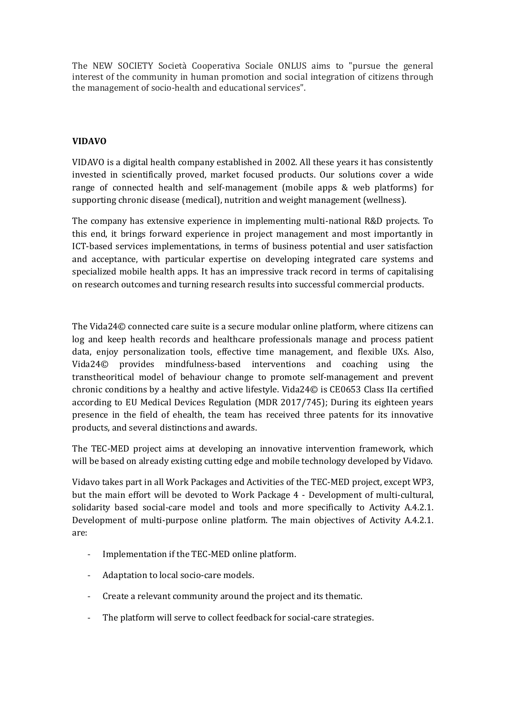The NEW SOCIETY Società Cooperativa Sociale ONLUS aims to "pursue the general interest of the community in human promotion and social integration of citizens through the management of socio-health and educational services".

# **VIDAVO**

VIDAVO is a digital health company established in 2002. All these years it has consistently invested in scientifically proved, market focused products. Our solutions cover a wide range of connected health and self-management (mobile apps & web platforms) for supporting chronic disease (medical), nutrition and weight management (wellness).

The company has extensive experience in implementing multi-national R&D projects. To this end, it brings forward experience in project management and most importantly in ICT-based services implementations, in terms of business potential and user satisfaction and acceptance, with particular expertise on developing integrated care systems and specialized mobile health apps. It has an impressive track record in terms of capitalising on research outcomes and turning research results into successful commercial products.

The Vida24© connected care suite is a secure modular online platform, where citizens can log and keep health records and healthcare professionals manage and process patient data, enjoy personalization tools, effective time management, and flexible UXs. Also, Vida24© provides mindfulness-based interventions and coaching using the transtheoritical model of behaviour change to promote self-management and prevent chronic conditions by a healthy and active lifestyle. Vida24© is CE0653 Class IIa certified according to EU Medical Devices Regulation (MDR 2017/745); During its eighteen years presence in the field of ehealth, the team has received three patents for its innovative products, and several distinctions and awards.

The TEC-MED project aims at developing an innovative intervention framework, which will be based on already existing cutting edge and mobile technology developed by Vidavo.

Vidavo takes part in all Work Packages and Activities of the TEC-MED project, except WP3, but the main effort will be devoted to Work Package 4 - Development of multi-cultural, solidarity based social-care model and tools and more specifically to Activity A.4.2.1. Development of multi-purpose online platform. The main objectives of Activity A.4.2.1. are:

- Implementation if the TEC-MED online platform.
- Adaptation to local socio-care models.
- Create a relevant community around the project and its thematic.
- The platform will serve to collect feedback for social-care strategies.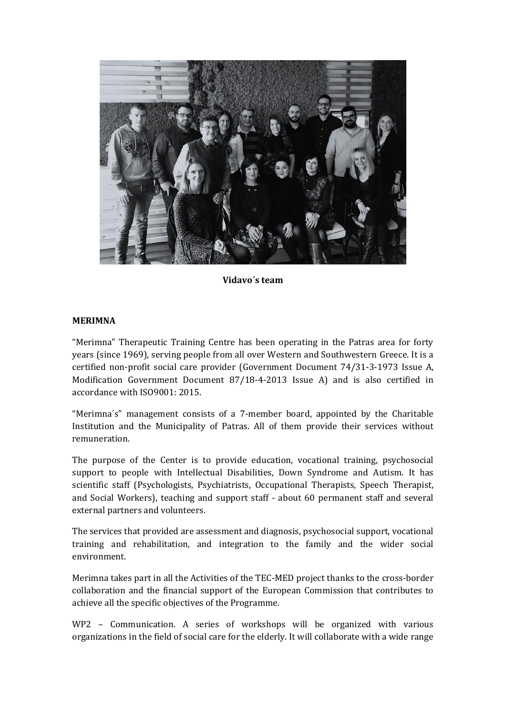

**Vidavo´s team** 

#### **MERIMNA**

"Merimna" Therapeutic Training Centre has been operating in the Patras area for forty years (since 1969), serving people from all over Western and Southwestern Greece. It is a certified non-profit social care provider (Government Document 74/31-3-1973 Issue A, Modification Government Document 87/18-4-2013 Issue A) and is also certified in accordance with ISO9001: 2015.

"Merimna´s" management consists of a 7-member board, appointed by the Charitable Institution and the Municipality of Patras. All of them provide their services without remuneration.

The purpose of the Center is to provide education, vocational training, psychosocial support to people with Intellectual Disabilities, Down Syndrome and Autism. It has scientific staff (Psychologists, Psychiatrists, Occupational Therapists, Speech Therapist, and Social Workers), teaching and support staff - about 60 permanent staff and several external partners and volunteers.

The services that provided are assessment and diagnosis, psychosocial support, vocational training and rehabilitation, and integration to the family and the wider social environment.

Merimna takes part in all the Activities of the TEC-MED project thanks to the cross-border collaboration and the financial support of the European Commission that contributes to achieve all the specific objectives of the Programme.

WP2 – Communication. A series of workshops will be organized with various organizations in the field of social care for the elderly. It will collaborate with a wide range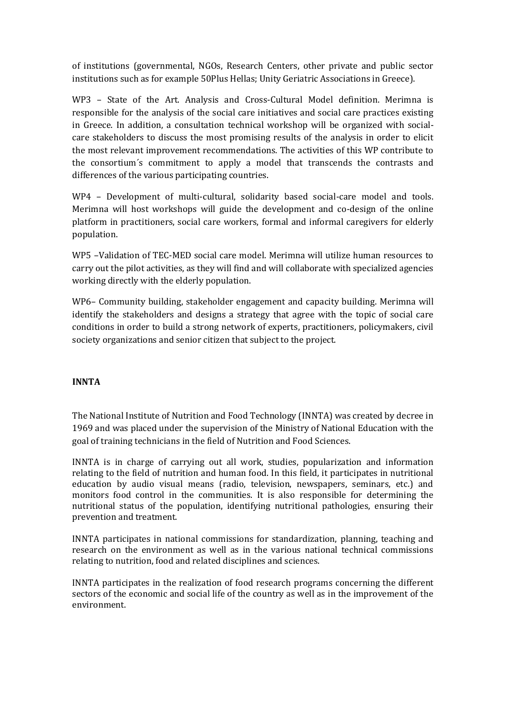of institutions (governmental, NGOs, Research Centers, other private and public sector institutions such as for example 50Plus Hellas; Unity Geriatric Associations in Greece).

WP3 – State of the Art. Analysis and Cross-Cultural Model definition. Merimna is responsible for the analysis of the social care initiatives and social care practices existing in Greece. In addition, a consultation technical workshop will be organized with socialcare stakeholders to discuss the most promising results of the analysis in order to elicit the most relevant improvement recommendations. The activities of this WP contribute to the consortium´s commitment to apply a model that transcends the contrasts and differences of the various participating countries.

WP4 – Development of multi-cultural, solidarity based social-care model and tools. Merimna will host workshops will guide the development and co-design of the online platform in practitioners, social care workers, formal and informal caregivers for elderly population.

WP5 –Validation of TEC-MED social care model. Merimna will utilize human resources to carry out the pilot activities, as they will find and will collaborate with specialized agencies working directly with the elderly population.

WP6– Community building, stakeholder engagement and capacity building. Merimna will identify the stakeholders and designs a strategy that agree with the topic of social care conditions in order to build a strong network of experts, practitioners, policymakers, civil society organizations and senior citizen that subject to the project.

# **INNTA**

The National Institute of Nutrition and Food Technology (INNTA) was created by decree in 1969 and was placed under the supervision of the Ministry of National Education with the goal of training technicians in the field of Nutrition and Food Sciences.

INNTA is in charge of carrying out all work, studies, popularization and information relating to the field of nutrition and human food. In this field, it participates in nutritional education by audio visual means (radio, television, newspapers, seminars, etc.) and monitors food control in the communities. It is also responsible for determining the nutritional status of the population, identifying nutritional pathologies, ensuring their prevention and treatment.

INNTA participates in national commissions for standardization, planning, teaching and research on the environment as well as in the various national technical commissions relating to nutrition, food and related disciplines and sciences.

INNTA participates in the realization of food research programs concerning the different sectors of the economic and social life of the country as well as in the improvement of the environment.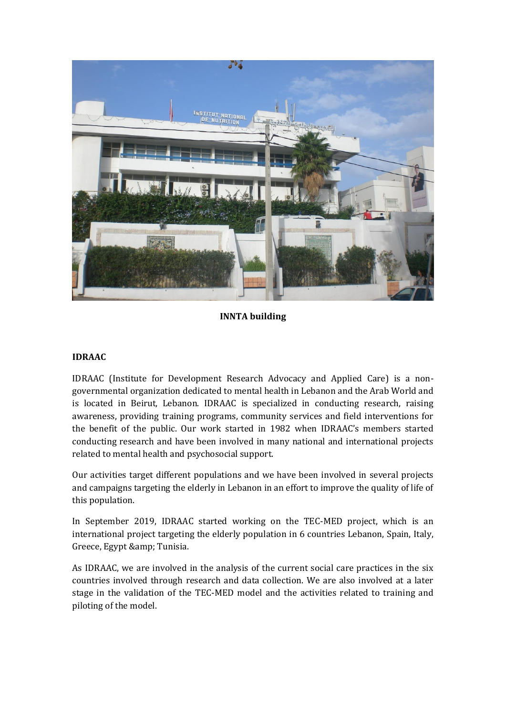

**INNTA building**

# **IDRAAC**

IDRAAC (Institute for Development Research Advocacy and Applied Care) is a nongovernmental organization dedicated to mental health in Lebanon and the Arab World and is located in Beirut, Lebanon. IDRAAC is specialized in conducting research, raising awareness, providing training programs, community services and field interventions for the benefit of the public. Our work started in 1982 when IDRAAC's members started conducting research and have been involved in many national and international projects related to mental health and psychosocial support.

Our activities target different populations and we have been involved in several projects and campaigns targeting the elderly in Lebanon in an effort to improve the quality of life of this population.

In September 2019, IDRAAC started working on the TEC-MED project, which is an international project targeting the elderly population in 6 countries Lebanon, Spain, Italy, Greece, Egypt & amp; Tunisia.

As IDRAAC, we are involved in the analysis of the current social care practices in the six countries involved through research and data collection. We are also involved at a later stage in the validation of the TEC-MED model and the activities related to training and piloting of the model.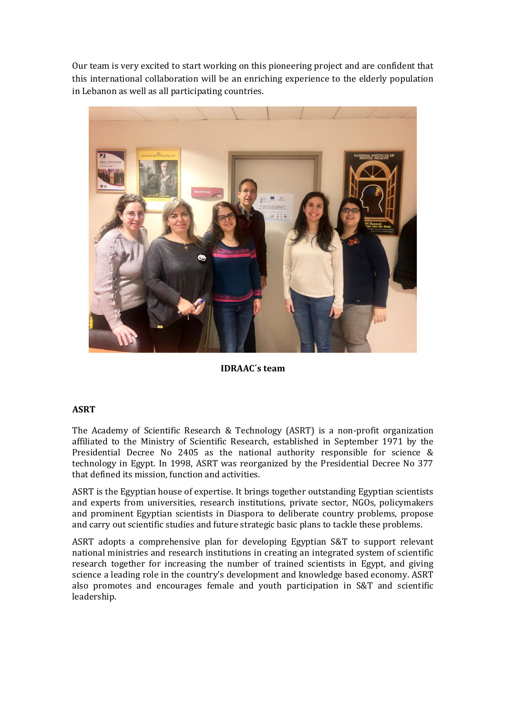Our team is very excited to start working on this pioneering project and are confident that this international collaboration will be an enriching experience to the elderly population in Lebanon as well as all participating countries.



**IDRAAC´s team**

# **ASRT**

The Academy of Scientific Research & Technology (ASRT) is a non-profit organization affiliated to the Ministry of Scientific Research, established in September 1971 by the Presidential Decree No 2405 as the national authority responsible for science & technology in Egypt. In 1998, ASRT was reorganized by the Presidential Decree No 377 that defined its mission, function and activities.

ASRT is the Egyptian house of expertise. It brings together outstanding Egyptian scientists and experts from universities, research institutions, private sector, NGOs, policymakers and prominent Egyptian scientists in Diaspora to deliberate country problems, propose and carry out scientific studies and future strategic basic plans to tackle these problems.

ASRT adopts a comprehensive plan for developing Egyptian S&T to support relevant national ministries and research institutions in creating an integrated system of scientific research together for increasing the number of trained scientists in Egypt, and giving science a leading role in the country's development and knowledge based economy. ASRT also promotes and encourages female and youth participation in S&T and scientific leadership.